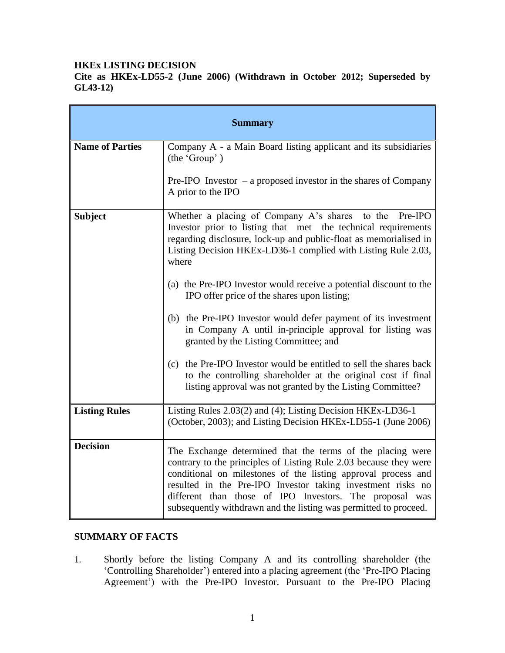#### **HKEx LISTING DECISION**

**Cite as HKEx-LD55-2 (June 2006) (Withdrawn in October 2012; Superseded by GL43-12)**

| <b>Summary</b>         |                                                                                                                                                                                                                                                                                                                                                                                                |
|------------------------|------------------------------------------------------------------------------------------------------------------------------------------------------------------------------------------------------------------------------------------------------------------------------------------------------------------------------------------------------------------------------------------------|
| <b>Name of Parties</b> | Company A - a Main Board listing applicant and its subsidiaries<br>(the 'Group')                                                                                                                                                                                                                                                                                                               |
|                        | Pre-IPO Investor $-$ a proposed investor in the shares of Company<br>A prior to the IPO                                                                                                                                                                                                                                                                                                        |
| <b>Subject</b>         | Whether a placing of Company A's shares to the Pre-IPO<br>Investor prior to listing that met the technical requirements<br>regarding disclosure, lock-up and public-float as memorialised in<br>Listing Decision HKEx-LD36-1 complied with Listing Rule 2.03,<br>where                                                                                                                         |
|                        | (a) the Pre-IPO Investor would receive a potential discount to the<br>IPO offer price of the shares upon listing;                                                                                                                                                                                                                                                                              |
|                        | (b) the Pre-IPO Investor would defer payment of its investment<br>in Company A until in-principle approval for listing was<br>granted by the Listing Committee; and                                                                                                                                                                                                                            |
|                        | the Pre-IPO Investor would be entitled to sell the shares back<br>(c)<br>to the controlling shareholder at the original cost if final<br>listing approval was not granted by the Listing Committee?                                                                                                                                                                                            |
| <b>Listing Rules</b>   | Listing Rules 2.03(2) and (4); Listing Decision HKEx-LD36-1<br>(October, 2003); and Listing Decision HKEx-LD55-1 (June 2006)                                                                                                                                                                                                                                                                   |
| <b>Decision</b>        | The Exchange determined that the terms of the placing were<br>contrary to the principles of Listing Rule 2.03 because they were<br>conditional on milestones of the listing approval process and<br>resulted in the Pre-IPO Investor taking investment risks no<br>different than those of IPO Investors. The proposal was<br>subsequently withdrawn and the listing was permitted to proceed. |

### **SUMMARY OF FACTS**

1. Shortly before the listing Company A and its controlling shareholder (the 'Controlling Shareholder') entered into a placing agreement (the 'Pre-IPO Placing Agreement') with the Pre-IPO Investor. Pursuant to the Pre-IPO Placing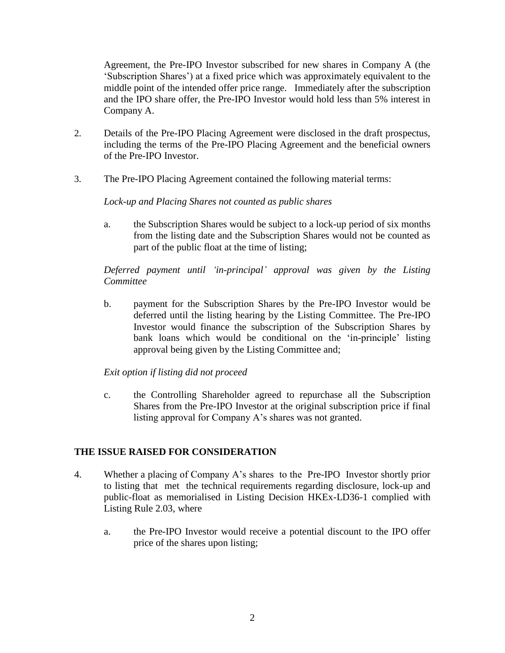Agreement, the Pre-IPO Investor subscribed for new shares in Company A (the 'Subscription Shares') at a fixed price which was approximately equivalent to the middle point of the intended offer price range. Immediately after the subscription and the IPO share offer, the Pre-IPO Investor would hold less than 5% interest in Company A.

- 2. Details of the Pre-IPO Placing Agreement were disclosed in the draft prospectus, including the terms of the Pre-IPO Placing Agreement and the beneficial owners of the Pre-IPO Investor.
- 3. The Pre-IPO Placing Agreement contained the following material terms:

#### *Lock-up and Placing Shares not counted as public shares*

a. the Subscription Shares would be subject to a lock-up period of six months from the listing date and the Subscription Shares would not be counted as part of the public float at the time of listing;

*Deferred payment until 'in-principal' approval was given by the Listing Committee*

b. payment for the Subscription Shares by the Pre-IPO Investor would be deferred until the listing hearing by the Listing Committee. The Pre-IPO Investor would finance the subscription of the Subscription Shares by bank loans which would be conditional on the 'in-principle' listing approval being given by the Listing Committee and;

### *Exit option if listing did not proceed*

c. the Controlling Shareholder agreed to repurchase all the Subscription Shares from the Pre-IPO Investor at the original subscription price if final listing approval for Company A's shares was not granted.

### **THE ISSUE RAISED FOR CONSIDERATION**

- 4. Whether a placing of Company A's shares to the Pre-IPO Investor shortly prior to listing that met the technical requirements regarding disclosure, lock-up and public-float as memorialised in Listing Decision HKEx-LD36-1 complied with Listing Rule 2.03, where
	- a. the Pre-IPO Investor would receive a potential discount to the IPO offer price of the shares upon listing;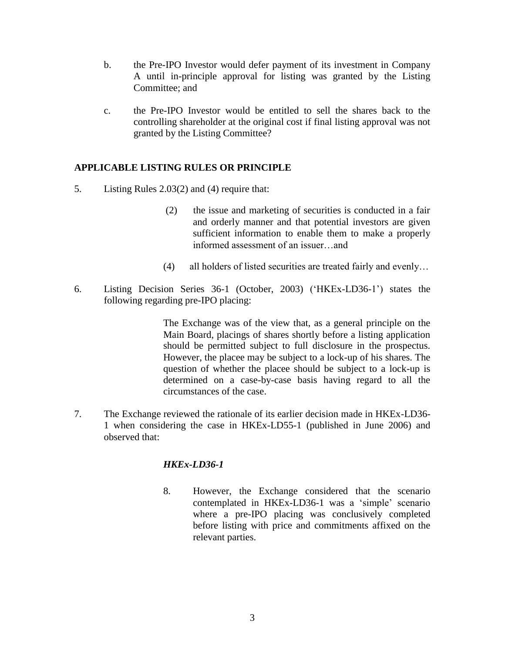- b. the Pre-IPO Investor would defer payment of its investment in Company A until in-principle approval for listing was granted by the Listing Committee; and
- c. the Pre-IPO Investor would be entitled to sell the shares back to the controlling shareholder at the original cost if final listing approval was not granted by the Listing Committee?

### **APPLICABLE LISTING RULES OR PRINCIPLE**

- 5. Listing Rules 2.03(2) and (4) require that:
	- (2) the issue and marketing of securities is conducted in a fair and orderly manner and that potential investors are given sufficient information to enable them to make a properly informed assessment of an issuer…and
	- (4) all holders of listed securities are treated fairly and evenly…
- 6. Listing Decision Series 36-1 (October, 2003) ('HKEx-LD36-1') states the following regarding pre-IPO placing:

The Exchange was of the view that, as a general principle on the Main Board, placings of shares shortly before a listing application should be permitted subject to full disclosure in the prospectus. However, the placee may be subject to a lock-up of his shares. The question of whether the placee should be subject to a lock-up is determined on a case-by-case basis having regard to all the circumstances of the case.

7. The Exchange reviewed the rationale of its earlier decision made in HKEx-LD36- 1 when considering the case in HKEx-LD55-1 (published in June 2006) and observed that:

# *HKEx-LD36-1*

8. However, the Exchange considered that the scenario contemplated in HKEx-LD36-1 was a 'simple' scenario where a pre-IPO placing was conclusively completed before listing with price and commitments affixed on the relevant parties.